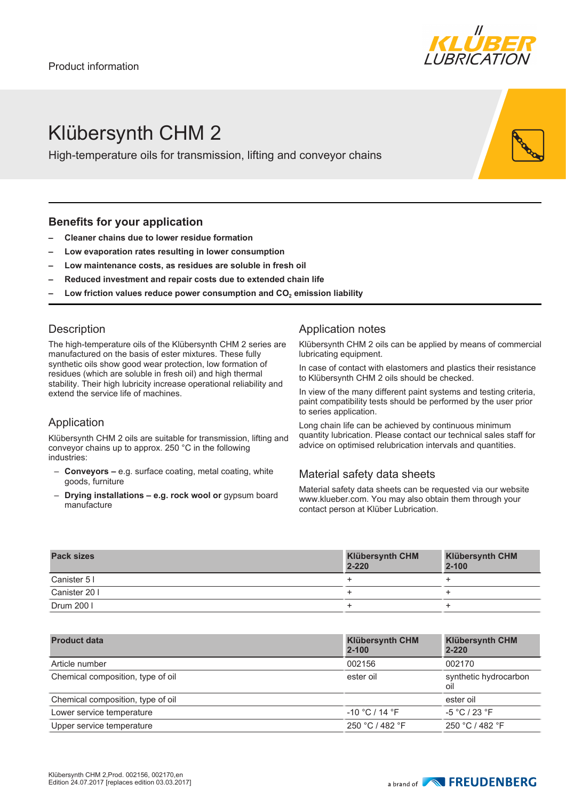

# Klübersynth CHM 2

High-temperature oils for transmission, lifting and conveyor chains

### **Benefits for your application**

- **– Cleaner chains due to lower residue formation**
- **– Low evaporation rates resulting in lower consumption**
- **– Low maintenance costs, as residues are soluble in fresh oil**
- **– Reduced investment and repair costs due to extended chain life**
- **– Low friction values reduce power consumption and CO2 emission liability**

### **Description**

The high-temperature oils of the Klübersynth CHM 2 series are manufactured on the basis of ester mixtures. These fully synthetic oils show good wear protection, low formation of residues (which are soluble in fresh oil) and high thermal stability. Their high lubricity increase operational reliability and extend the service life of machines.

# Application

Klübersynth CHM 2 oils are suitable for transmission, lifting and conveyor chains up to approx. 250 °C in the following industries:

- **Conveyors** e.g. surface coating, metal coating, white goods, furniture
- **Drying installations e.g. rock wool or** gypsum board manufacture

# Application notes

Klübersynth CHM 2 oils can be applied by means of commercial lubricating equipment.

In case of contact with elastomers and plastics their resistance to Klübersynth CHM 2 oils should be checked.

In view of the many different paint systems and testing criteria, paint compatibility tests should be performed by the user prior to series application.

Long chain life can be achieved by continuous minimum quantity lubrication. Please contact our technical sales staff for advice on optimised relubrication intervals and quantities.

# Material safety data sheets

Material safety data sheets can be requested via our website www.klueber.com. You may also obtain them through your contact person at Klüber Lubrication.

| <b>Pack sizes</b> | <b>Klübersynth CHM</b><br>$2 - 220$ | <b>Klübersynth CHM</b><br>$2 - 100$ |
|-------------------|-------------------------------------|-------------------------------------|
| Canister 51       |                                     |                                     |
| Canister 20 I     |                                     |                                     |
| Drum 200          |                                     |                                     |

| <b>Product data</b>               | <b>Klübersynth CHM</b><br>$2 - 100$ | <b>Klübersynth CHM</b><br>$2 - 220$ |
|-----------------------------------|-------------------------------------|-------------------------------------|
| Article number                    | 002156                              | 002170                              |
| Chemical composition, type of oil | ester oil                           | synthetic hydrocarbon<br>oil        |
| Chemical composition, type of oil |                                     | ester oil                           |
| Lower service temperature         | $-10 °C/14 °F$                      | $-5 °C / 23 °F$                     |
| Upper service temperature         | 250 °C / 482 °F                     | 250 °C / 482 °F                     |